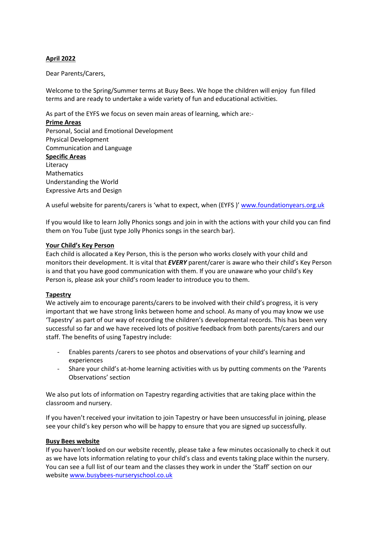## **April 2022**

Dear Parents/Carers,

Welcome to the Spring/Summer terms at Busy Bees. We hope the children will enjoy fun filled terms and are ready to undertake a wide variety of fun and educational activities.

As part of the EYFS we focus on seven main areas of learning, which are:-

**Prime Areas** Personal, Social and Emotional Development Physical Development Communication and Language **Specific Areas** Literacy **Mathematics** Understanding the World Expressive Arts and Design

A useful website for parents/carers is 'what to expect, when (EYFS)' [www.foundationyears.org.uk](http://www.foundationyears.org.uk/)

If you would like to learn Jolly Phonics songs and join in with the actions with your child you can find them on You Tube (just type Jolly Phonics songs in the search bar).

#### **Your Child's Key Person**

Each child is allocated a Key Person, this is the person who works closely with your child and monitors their development. It is vital that *EVERY* parent/carer is aware who their child's Key Person is and that you have good communication with them. If you are unaware who your child's Key Person is, please ask your child's room leader to introduce you to them.

#### **Tapestry**

We actively aim to encourage parents/carers to be involved with their child's progress, it is very important that we have strong links between home and school. As many of you may know we use 'Tapestry' as part of our way of recording the children's developmental records. This has been very successful so far and we have received lots of positive feedback from both parents/carers and our staff. The benefits of using Tapestry include:

- Enables parents /carers to see photos and observations of your child's learning and experiences
- Share your child's at-home learning activities with us by putting comments on the 'Parents Observations' section

We also put lots of information on Tapestry regarding activities that are taking place within the classroom and nursery.

If you haven't received your invitation to join Tapestry or have been unsuccessful in joining, please see your child's key person who will be happy to ensure that you are signed up successfully.

#### **Busy Bees website**

If you haven't looked on our website recently, please take a few minutes occasionally to check it out as we have lots information relating to your child's class and events taking place within the nursery. You can see a full list of our team and the classes they work in under the 'Staff' section on our websit[e www.busybees-nurseryschool.co.uk](http://www.busybees-nurseryschool.co.uk/)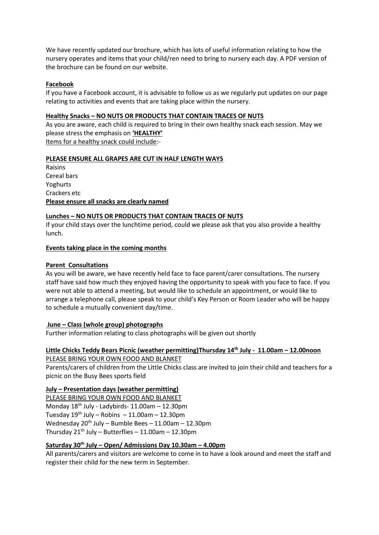We have recently updated our brochure, which has lots of useful information relating to how the nursery operates and items that your child/ren need to bring to nursery each day. A PDF version of the brochure can be found on our website.

## **Facebook**

If you have a Facebook account, it is advisable to follow us as we regularly put updates on our page relating to activities and events that are taking place within the nursery.

#### **Healthy Snacks – NO NUTS OR PRODUCTS THAT CONTAIN TRACES OF NUTS**

As you are aware, each child is required to bring in their own healthy snack each session. May we please stress the emphasis on **'HEALTHY'**

Items for a healthy snack could include:-

## **PLEASE ENSURE ALL GRAPES ARE CUT IN HALF LENGTH WAYS**

Raisins Cereal bars Yoghurts Crackers etc **Please ensure all snacks are clearly named**

## **Lunches – NO NUTS OR PRODUCTS THAT CONTAIN TRACES OF NUTS**

If your child stays over the lunchtime period, could we please ask that you also provide a healthy lunch.

## **Events taking place in the coming months**

## **Parent Consultations**

As you will be aware, we have recently held face to face parent/carer consultations. The nursery staff have said how much they enjoyed having the opportunity to speak with you face to face. If you were not able to attend a meeting, but would like to schedule an appointment, or would like to arrange a telephone call, please speak to your child's Key Person or Room Leader who will be happy to schedule a mutually convenient day/time.

# **June – Class (whole group) photographs**

Further information relating to class photographs will be given out shortly

## **Little Chicks Teddy Bears Picnic (weather permitting)Thursday 14th July - 11.00am – 12.00noon** PLEASE BRING YOUR OWN FOOD AND BLANKET

Parents/carers of children from the Little Chicks class are invited to join their child and teachers for a picnic on the Busy Bees sports field

# **July – Presentation days (weather permitting)**

PLEASE BRING YOUR OWN FOOD AND BLANKET Monday 18th July - Ladybirds- 11.00am – 12.30pm Tuesday 19<sup>th</sup> July – Robins – 11.00am – 12.30pm Wednesday  $20^{th}$  July – Bumble Bees – 11.00am – 12.30pm Thursday  $21<sup>th</sup>$  July – Butterflies – 11.00am – 12.30pm

# **Saturday 30th July – Open/ Admissions Day 10.30am – 4.00pm**

All parents/carers and visitors are welcome to come in to have a look around and meet the staff and register their child for the new term in September.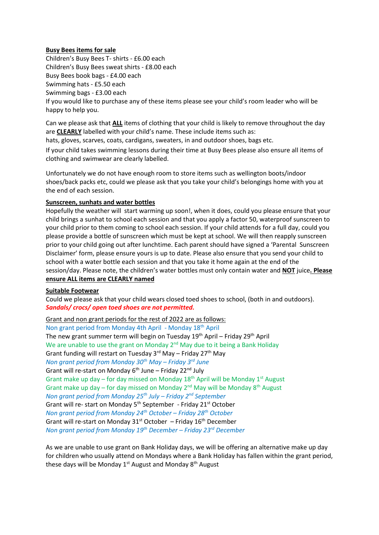## **Busy Bees items for sale**

Children's Busy Bees T- shirts - £6.00 each Children's Busy Bees sweat shirts - £8.00 each Busy Bees book bags - £4.00 each Swimming hats - £5.50 each Swimming bags - £3.00 each If you would like to purchase any of these items please see your child's room leader who will be happy to help you.

Can we please ask that **ALL** items of clothing that your child is likely to remove throughout the day are **CLEARLY** labelled with your child's name. These include items such as:

hats, gloves, scarves, coats, cardigans, sweaters, in and outdoor shoes, bags etc.

If your child takes swimming lessons during their time at Busy Bees please also ensure all items of clothing and swimwear are clearly labelled.

Unfortunately we do not have enough room to store items such as wellington boots/indoor shoes/back packs etc, could we please ask that you take your child's belongings home with you at the end of each session.

## **Sunscreen, sunhats and water bottles**

Hopefully the weather will start warming up soon!, when it does, could you please ensure that your child brings a sunhat to school each session and that you apply a factor 50, waterproof sunscreen to your child prior to them coming to school each session. If your child attends for a full day, could you please provide a bottle of sunscreen which must be kept at school. We will then reapply sunscreen prior to your child going out after lunchtime. Each parent should have signed a 'Parental Sunscreen Disclaimer' form, please ensure yours is up to date. Please also ensure that you send your child to school with a water bottle each session and that you take it home again at the end of the session/day. Please note, the children's water bottles must only contain water and **NOT** juice**. Please ensure ALL items are CLEARLY named**

# **Suitable Footwear**

Could we please ask that your child wears closed toed shoes to school, (both in and outdoors). *Sandals/ crocs/ open toed shoes are not permitted.*

Grant and non grant periods for the rest of 2022 are as follows: Non grant period from Monday 4th April - Monday 18th April The new grant summer term will begin on Tuesday 19<sup>th</sup> April – Friday 29<sup>th</sup> April We are unable to use the grant on Monday 2<sup>nd</sup> May due to it being a Bank Holiday Grant funding will restart on Tuesday  $3<sup>rd</sup>$  May – Friday  $27<sup>th</sup>$  May *Non grant period from Monday 30th May – Friday 3rd June*  Grant will re-start on Monday  $6<sup>th</sup>$  June – Friday 22<sup>nd</sup> July Grant make up day – for day missed on Monday  $18<sup>th</sup>$  April will be Monday  $1<sup>st</sup>$  August Grant make up day – for day missed on Monday  $2^{nd}$  May will be Monday  $8^{th}$  August *Non grant period from Monday 25th July – Friday 2 nd September*  Grant will re- start on Monday 5<sup>th</sup> September - Friday 21<sup>st</sup> October *Non grant period from Monday 24 th October – Friday 28 th October*  Grant will re-start on Monday  $31<sup>st</sup>$  October – Friday  $16<sup>th</sup>$  December *Non grant period from Monday 19th December – Friday 23 rd December* 

As we are unable to use grant on Bank Holiday days, we will be offering an alternative make up day for children who usually attend on Mondays where a Bank Holiday has fallen within the grant period, these days will be Monday 1<sup>st</sup> August and Monday 8<sup>th</sup> August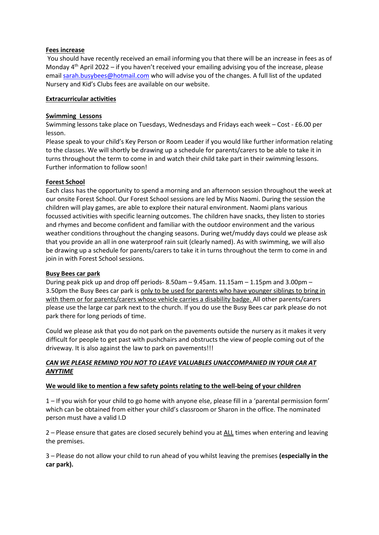#### **Fees increase**

You should have recently received an email informing you that there will be an increase in fees as of Monday  $4<sup>th</sup>$  April 2022 – if you haven't received your emailing advising you of the increase, please email [sarah.busybees@hotmail.com](mailto:sarah.busybees@hotmail.com) who will advise you of the changes. A full list of the updated Nursery and Kid's Clubs fees are available on our website.

## **Extracurricular activities**

## **Swimming Lessons**

Swimming lessons take place on Tuesdays, Wednesdays and Fridays each week – Cost - £6.00 per lesson.

Please speak to your child's Key Person or Room Leader if you would like further information relating to the classes. We will shortly be drawing up a schedule for parents/carers to be able to take it in turns throughout the term to come in and watch their child take part in their swimming lessons. Further information to follow soon!

## **Forest School**

Each class has the opportunity to spend a morning and an afternoon session throughout the week at our onsite Forest School. Our Forest School sessions are led by Miss Naomi. During the session the children will play games, are able to explore their natural environment. Naomi plans various focussed activities with specific learning outcomes. The children have snacks, they listen to stories and rhymes and become confident and familiar with the outdoor environment and the various weather conditions throughout the changing seasons. During wet/muddy days could we please ask that you provide an all in one waterproof rain suit (clearly named). As with swimming, we will also be drawing up a schedule for parents/carers to take it in turns throughout the term to come in and join in with Forest School sessions.

#### **Busy Bees car park**

During peak pick up and drop off periods- 8.50am – 9.45am. 11.15am – 1.15pm and 3.00pm – 3.50pm the Busy Bees car park is only to be used for parents who have younger siblings to bring in with them or for parents/carers whose vehicle carries a disability badge. All other parents/carers please use the large car park next to the church. If you do use the Busy Bees car park please do not park there for long periods of time.

Could we please ask that you do not park on the pavements outside the nursery as it makes it very difficult for people to get past with pushchairs and obstructs the view of people coming out of the driveway. It is also against the law to park on pavements!!!

## *CAN WE PLEASE REMIND YOU NOT TO LEAVE VALUABLES UNACCOMPANIED IN YOUR CAR AT ANYTIME*

#### **We would like to mention a few safety points relating to the well-being of your children**

1 – If you wish for your child to go home with anyone else, please fill in a 'parental permission form' which can be obtained from either your child's classroom or Sharon in the office. The nominated person must have a valid I.D

2 – Please ensure that gates are closed securely behind you at ALL times when entering and leaving the premises.

3 – Please do not allow your child to run ahead of you whilst leaving the premises **(especially in the car park).**